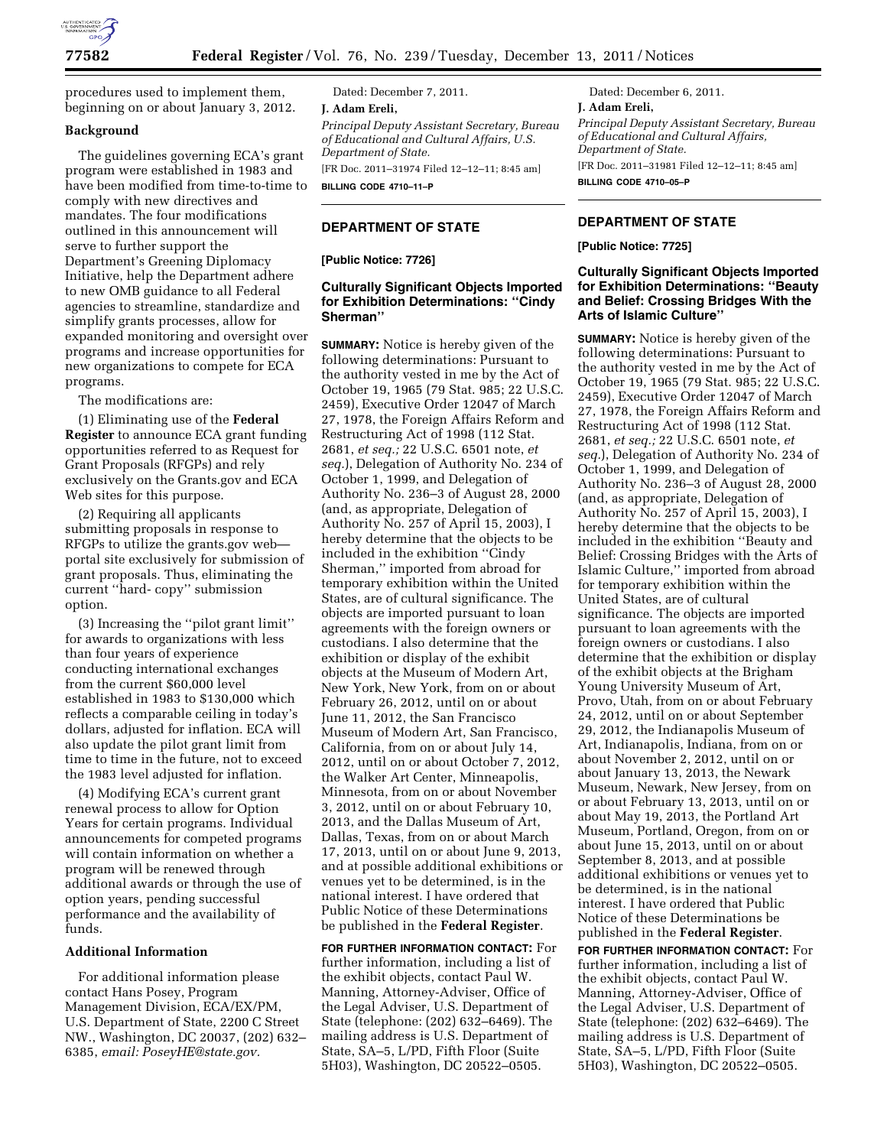

procedures used to implement them, beginning on or about January 3, 2012.

#### **Background**

The guidelines governing ECA's grant program were established in 1983 and have been modified from time-to-time to comply with new directives and mandates. The four modifications outlined in this announcement will serve to further support the Department's Greening Diplomacy Initiative, help the Department adhere to new OMB guidance to all Federal agencies to streamline, standardize and simplify grants processes, allow for expanded monitoring and oversight over programs and increase opportunities for new organizations to compete for ECA programs.

The modifications are:

(1) Eliminating use of the **Federal Register** to announce ECA grant funding opportunities referred to as Request for Grant Proposals (RFGPs) and rely exclusively on the Grants.gov and ECA Web sites for this purpose.

(2) Requiring all applicants submitting proposals in response to RFGPs to utilize the grants.gov web portal site exclusively for submission of grant proposals. Thus, eliminating the current ''hard- copy'' submission option.

(3) Increasing the ''pilot grant limit'' for awards to organizations with less than four years of experience conducting international exchanges from the current \$60,000 level established in 1983 to \$130,000 which reflects a comparable ceiling in today's dollars, adjusted for inflation. ECA will also update the pilot grant limit from time to time in the future, not to exceed the 1983 level adjusted for inflation.

(4) Modifying ECA's current grant renewal process to allow for Option Years for certain programs. Individual announcements for competed programs will contain information on whether a program will be renewed through additional awards or through the use of option years, pending successful performance and the availability of funds.

#### **Additional Information**

For additional information please contact Hans Posey, Program Management Division, ECA/EX/PM, U.S. Department of State, 2200 C Street NW., Washington, DC 20037, (202) 632– 6385, *email: [PoseyHE@state.gov.](mailto:PoseyHE@state.gov)* 

Dated: December 7, 2011. **J. Adam Ereli,**  *Principal Deputy Assistant Secretary, Bureau of Educational and Cultural Affairs, U.S. Department of State.*  [FR Doc. 2011–31974 Filed 12–12–11; 8:45 am] **BILLING CODE 4710–11–P** 

## **DEPARTMENT OF STATE**

#### **[Public Notice: 7726]**

# **Culturally Significant Objects Imported for Exhibition Determinations: ''Cindy Sherman''**

**SUMMARY:** Notice is hereby given of the following determinations: Pursuant to the authority vested in me by the Act of October 19, 1965 (79 Stat. 985; 22 U.S.C. 2459), Executive Order 12047 of March 27, 1978, the Foreign Affairs Reform and Restructuring Act of 1998 (112 Stat. 2681, *et seq.;* 22 U.S.C. 6501 note, *et seq.*), Delegation of Authority No. 234 of October 1, 1999, and Delegation of Authority No. 236–3 of August 28, 2000 (and, as appropriate, Delegation of Authority No. 257 of April 15, 2003), I hereby determine that the objects to be included in the exhibition ''Cindy Sherman,'' imported from abroad for temporary exhibition within the United States, are of cultural significance. The objects are imported pursuant to loan agreements with the foreign owners or custodians. I also determine that the exhibition or display of the exhibit objects at the Museum of Modern Art, New York, New York, from on or about February 26, 2012, until on or about June 11, 2012, the San Francisco Museum of Modern Art, San Francisco, California, from on or about July 14, 2012, until on or about October 7, 2012, the Walker Art Center, Minneapolis, Minnesota, from on or about November 3, 2012, until on or about February 10, 2013, and the Dallas Museum of Art, Dallas, Texas, from on or about March 17, 2013, until on or about June 9, 2013, and at possible additional exhibitions or venues yet to be determined, is in the national interest. I have ordered that Public Notice of these Determinations be published in the **Federal Register**.

**FOR FURTHER INFORMATION CONTACT:** For further information, including a list of the exhibit objects, contact Paul W. Manning, Attorney-Adviser, Office of the Legal Adviser, U.S. Department of State (telephone: (202) 632–6469). The mailing address is U.S. Department of State, SA–5, L/PD, Fifth Floor (Suite 5H03), Washington, DC 20522–0505.

Dated: December 6, 2011. **J. Adam Ereli,**  *Principal Deputy Assistant Secretary, Bureau of Educational and Cultural Affairs, Department of State.*  [FR Doc. 2011–31981 Filed 12–12–11; 8:45 am] **BILLING CODE 4710–05–P** 

# **DEPARTMENT OF STATE**

**[Public Notice: 7725]** 

## **Culturally Significant Objects Imported for Exhibition Determinations: ''Beauty and Belief: Crossing Bridges With the Arts of Islamic Culture''**

**SUMMARY:** Notice is hereby given of the following determinations: Pursuant to the authority vested in me by the Act of October 19, 1965 (79 Stat. 985; 22 U.S.C. 2459), Executive Order 12047 of March 27, 1978, the Foreign Affairs Reform and Restructuring Act of 1998 (112 Stat. 2681, *et seq.;* 22 U.S.C. 6501 note, *et seq.*), Delegation of Authority No. 234 of October 1, 1999, and Delegation of Authority No. 236–3 of August 28, 2000 (and, as appropriate, Delegation of Authority No. 257 of April 15, 2003), I hereby determine that the objects to be included in the exhibition ''Beauty and Belief: Crossing Bridges with the Arts of Islamic Culture,'' imported from abroad for temporary exhibition within the United States, are of cultural significance. The objects are imported pursuant to loan agreements with the foreign owners or custodians. I also determine that the exhibition or display of the exhibit objects at the Brigham Young University Museum of Art, Provo, Utah, from on or about February 24, 2012, until on or about September 29, 2012, the Indianapolis Museum of Art, Indianapolis, Indiana, from on or about November 2, 2012, until on or about January 13, 2013, the Newark Museum, Newark, New Jersey, from on or about February 13, 2013, until on or about May 19, 2013, the Portland Art Museum, Portland, Oregon, from on or about June 15, 2013, until on or about September 8, 2013, and at possible additional exhibitions or venues yet to be determined, is in the national interest. I have ordered that Public Notice of these Determinations be published in the **Federal Register**.

**FOR FURTHER INFORMATION CONTACT:** For further information, including a list of the exhibit objects, contact Paul W. Manning, Attorney-Adviser, Office of the Legal Adviser, U.S. Department of State (telephone: (202) 632–6469). The mailing address is U.S. Department of State, SA–5, L/PD, Fifth Floor (Suite 5H03), Washington, DC 20522–0505.